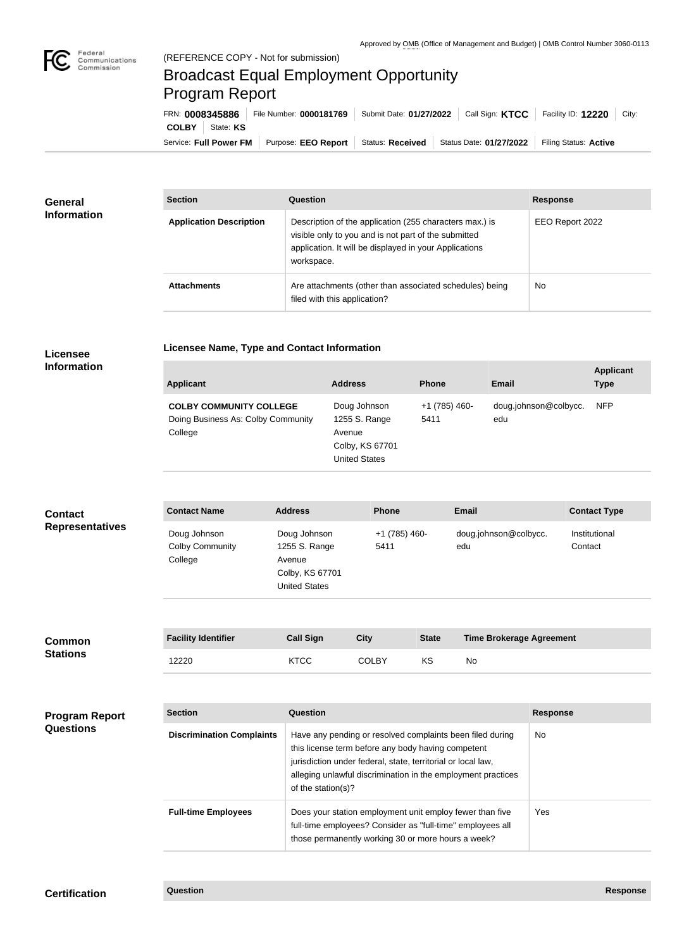

## Broadcast Equal Employment Opportunity Program Report

**Licensee Name, Type and Contact Information**

| FRN: 0008345886        |           | File Number: 0000181769 | Call Sign: <b>KTCC</b><br>Submit Date: 01/27/2022 |                         | Facility ID: 12220<br>City: |
|------------------------|-----------|-------------------------|---------------------------------------------------|-------------------------|-----------------------------|
| <b>COLBY</b>           | State: KS |                         |                                                   |                         |                             |
| Service: Full Power FM |           | Purpose: EEO Report     | <b>Status: Received</b>                           | Status Date: 01/27/2022 | Filing Status: Active       |

| <b>General</b><br><b>Information</b> | <b>Section</b>                 | <b>Question</b>                                                                                                                                                                         | <b>Response</b> |  |
|--------------------------------------|--------------------------------|-----------------------------------------------------------------------------------------------------------------------------------------------------------------------------------------|-----------------|--|
|                                      | <b>Application Description</b> | Description of the application (255 characters max.) is<br>visible only to you and is not part of the submitted<br>application. It will be displayed in your Applications<br>workspace. | EEO Report 2022 |  |
|                                      | <b>Attachments</b>             | Are attachments (other than associated schedules) being<br>filed with this application?                                                                                                 | No.             |  |

## **Licensee Information**

| <b>Applicant</b>                                                                | <b>Address</b>                                                                     | <b>Phone</b>          | Email                        | <b>Applicant</b><br><b>Type</b> |
|---------------------------------------------------------------------------------|------------------------------------------------------------------------------------|-----------------------|------------------------------|---------------------------------|
| <b>COLBY COMMUNITY COLLEGE</b><br>Doing Business As: Colby Community<br>College | Doug Johnson<br>1255 S. Range<br>Avenue<br>Colby, KS 67701<br><b>United States</b> | +1 (785) 460-<br>5411 | doug.johnson@colbycc.<br>edu | <b>NFP</b>                      |

| <b>Contact</b>         | <b>Contact Name</b>                               | <b>Address</b>                                                                     | <b>Phone</b>          | <b>Email</b>                 | <b>Contact Type</b>      |
|------------------------|---------------------------------------------------|------------------------------------------------------------------------------------|-----------------------|------------------------------|--------------------------|
| <b>Representatives</b> | Doug Johnson<br><b>Colby Community</b><br>College | Doug Johnson<br>1255 S. Range<br>Avenue<br>Colby, KS 67701<br><b>United States</b> | +1 (785) 460-<br>5411 | doug.johnson@colbycc.<br>edu | Institutional<br>Contact |

| <b>Common</b>   | <b>Facility Identifier</b> | <b>Call Sign</b> | Citv         | <b>State</b> | <b>Time Brokerage Agreement</b> |
|-----------------|----------------------------|------------------|--------------|--------------|---------------------------------|
| <b>Stations</b> | 12220                      | <b>KTCC</b>      | <b>COLBY</b> | KS           | No                              |

| <b>Program Report</b><br><b>Questions</b> | <b>Section</b>                   | Question                                                                                                                                                                                                                                                              | <b>Response</b> |
|-------------------------------------------|----------------------------------|-----------------------------------------------------------------------------------------------------------------------------------------------------------------------------------------------------------------------------------------------------------------------|-----------------|
|                                           | <b>Discrimination Complaints</b> | Have any pending or resolved complaints been filed during<br>this license term before any body having competent<br>jurisdiction under federal, state, territorial or local law,<br>alleging unlawful discrimination in the employment practices<br>of the station(s)? | <b>No</b>       |
|                                           | <b>Full-time Employees</b>       | Does your station employment unit employ fewer than five<br>full-time employees? Consider as "full-time" employees all<br>those permanently working 30 or more hours a week?                                                                                          | Yes             |